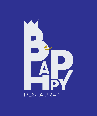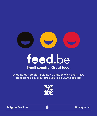

# food.be **Small country. Great food.**

Enjoying our Belgian cuisine? Connect with over 1,300 Belgian food & drink producers at www.food.be



**Belgian** Pavilion **Bel**expo.be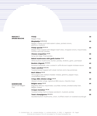|                          |  | and the contract of the contract of the |
|--------------------------|--|-----------------------------------------|
|                          |  |                                         |
|                          |  |                                         |
|                          |  |                                         |
|                          |  |                                         |
|                          |  |                                         |
|                          |  |                                         |
|                          |  |                                         |
|                          |  |                                         |
|                          |  |                                         |
|                          |  |                                         |
|                          |  |                                         |
|                          |  |                                         |
|                          |  |                                         |
|                          |  |                                         |
|                          |  |                                         |
|                          |  |                                         |
| $\overline{\phantom{a}}$ |  |                                         |
| _____                    |  |                                         |
|                          |  |                                         |
| $\overline{\phantom{a}}$ |  |                                         |

| <b>SNACKS //</b><br><b>AMUSE-BOUCHE</b> | <b>Frietje</b><br>Belgian fries                                                                     |    |
|-----------------------------------------|-----------------------------------------------------------------------------------------------------|----|
|                                         | Bierplankje (D) (M) (C) (G)                                                                         | 63 |
|                                         | Belgian cheese and halal salami cubes, pickled onions,<br>gherkins, mustard                         |    |
|                                         | Frietje special (D) (GL) (A)                                                                        | 63 |
|                                         | Belgian fries topped with Belgian beef stew, chopped onions, mayonnaise,<br>tomato ketchup, parsley |    |
|                                         | Cheese croquettes (D) (GL)                                                                          | 53 |
|                                         | Syrup de Liège, fried parsley                                                                       |    |
|                                         | Baked mushrooms with garlic butter (V) (D)                                                          | 43 |
|                                         | White button mushrooms, butter, parsley, shallots, garlic, parmesan                                 |    |
|                                         | Boulets Liégeois (A) (D) (GL)                                                                       | 63 |
|                                         | Roasted meatballs, slow cooked in Leffe Brune & apple molasse sauce                                 |    |
|                                         | Toast cannibal (R) (D) (GL)                                                                         | 53 |
|                                         | Toasted bread topped with steak tartare and crisp potatoes                                          |    |
|                                         | Beef sliders (GL) (D)                                                                               | 82 |
|                                         | Mini burgers with melted cheddar cheese, gherkins, pepper mayo,<br>caramelized onions               |    |
|                                         | Crispy BBQ chicken wings (GL) (D)                                                                   | 63 |
|                                         | Glazed chicken wings, signature BBQ sauce, chipotle mayo                                            |    |
| <b>SANDWICHES</b>                       | Belgian smos (GL) (D)                                                                               | 64 |
| Served with Belgian<br>fries            | Baguette, lettuce, mayonnaise, cucumber, tomato, smoked turkey ham,<br>Belgian cheese               |    |
|                                         | Croque-monsieur (GL) (D)                                                                            | 63 |
|                                         | Toasted turkey ham & cheese sandwich, mustard, pickles                                              |    |
|                                         | Toast champignons (GL) (D) (V)                                                                      | 55 |
|                                         | Sautéed button mushrooms, onion, truffled cream on toasted sourdough                                |    |
|                                         |                                                                                                     |    |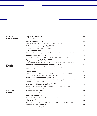| <b>STARTERS //</b><br><b>HORS D'OEUVRE</b> | Soup of the day (VG) (GL)<br>Fresh croutons                                                                                                           | 33  |
|--------------------------------------------|-------------------------------------------------------------------------------------------------------------------------------------------------------|-----|
|                                            | Cheese croquettes (GL) (D)<br>Signature blend of cheese, fried parsley, mustard                                                                       | 53  |
|                                            | North Sea shrimps croquettes (GL) (D) (S)<br>North Sea shrimps, lemon, tartare                                                                        | 63  |
|                                            | Beef carpaccio (GL) (D) (R)<br>Sliced raw flank steak, olive oil, matured cheese, capers, rucola, lemon                                               | 63  |
|                                            | Tomates crevettes (S) (D) (GL)<br>North Sea shrimps, cocktail sauce, lettuce, beef tomato                                                             | 93  |
|                                            | Tiger prawns in garlic butter (S) (D) (GL)<br>Sautéed tiger prawns in a mild-spicy garlic butter sauce, herbs toast                                   | 65  |
| <b>SALADS //</b><br><b>SALADES</b>         | Marinated roasted beets and raspberries (VG) (N)<br>Roasted beets marinated in a raspberry dressing,<br>candied walnuts, aragula                      | 53  |
|                                            | Caesar salad (D) (GL) (V)                                                                                                                             | 53  |
|                                            | Boston heart lettuce, Caesar dressing, croutons, aged cheese<br>With grain fed grilled chicken breast                                                 | 73  |
|                                            | Green beans & avocado "Liégeois" (VG)<br>Avocado, freshly cooked beans, cherry tomato, potato, onion, curled<br>endives, radish, dressing             | 63  |
|                                            | Goat cheese & Brussels endives (D) (GL) (N)<br>Mixed lettuce & endives, crisp bacon, goat cheese on toast,<br>honey-mustard dressing, candied walnuts | 63  |
| <b>MUSSELS //</b><br><b>MOULES</b>         | Moules marinières (S) (D)<br>Onion, celery, parsley                                                                                                   | 160 |
|                                            | Garlic and cream (S) (D)<br>Onion, celery, parsley, garlic & cream sauce                                                                              | 170 |
|                                            | Spicy Thai (S) (D) (N)<br>Onion, celery, parsley, spring onion, coriander, red Thai curry sauce                                                       | 170 |
|                                            | White wine & cream (S) (A) (D)<br>Onion, celery, parsley, white wine, cream                                                                           | 170 |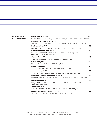| <b>MAIN COURSE //</b>   | Sole meunière (S) (D) (GL)                                                                        | 280 |
|-------------------------|---------------------------------------------------------------------------------------------------|-----|
| <b>PLATS PRINCIPAUX</b> | Sautéed dover sole, parsley and lemon butter, mashed potatoes, mixed salad                        |     |
|                         | North Sea fish casserole (D) (GL) (A)                                                             | 130 |
|                         | Steamed cod loin, mussels, clams, North Sea shrimps, crustacean bisque                            |     |
|                         | Panfried salmon (S) (D)                                                                           | 120 |
|                         | Seared crispy skin-on salmon fillet, confits tomatoes, caper butter                               |     |
|                         | Classic steak tartare (D) (GL) (R)                                                                | 110 |
|                         | Raw finely chopped beef steak topped with egg yolk, signature<br>dressing, garden salad and fries |     |
|                         | Steak frites (D) (GL)                                                                             | 110 |
|                         | Gras-fed Onglet steak, green peppercorn sauce, fries                                              |     |
|                         | Grilled rib eye (D)                                                                               | 180 |
|                         | 300 gr grain fed rib eye, garden salad, fries                                                     |     |
|                         | Grilled tenderloin (D)                                                                            | 170 |
|                         | 250 gr grass fed grilled tenderloin, garden salad, fries                                          |     |
|                         | Cheese burger (D) (GL)                                                                            | 93  |
|                         | Gherkins, onion, melted cheese, lettuce, signature dressing, fries                                |     |
|                         | Beef stew "Flemish carbonade" (D) (GL) (A)                                                        | 123 |
|                         | Braised beef brisket in Leffe brune beer, syrup de Liège, endive salad, fries                     |     |
|                         | Roasted rooster (D) (GL)                                                                          | 93  |
|                         | Half bone-in roasted free range chicken, green salad, home made<br>apple compote, fries           |     |
|                         | Vol-au-vent $(D)$ (GL)                                                                            | 112 |
|                         | Chicken & mushrooms fricassee, yeal meatballs, puff pastry, fries                                 |     |
|                         | Spinach & mushroom lasagna (D) (GL) (N) (V)                                                       | 82  |
|                         | Spinach, mushrooms, toasted pine nuts, mix of cheese                                              |     |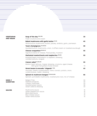| <b>VEGETARIAN</b>            | Soup of the day (GL) (VG)                                                                               | 33                         |
|------------------------------|---------------------------------------------------------------------------------------------------------|----------------------------|
| <b>AND VEGAN</b>             | Fresh croutons and cream                                                                                |                            |
|                              | Baked mushrooms with garlic butter (V) (D)                                                              | 43                         |
|                              | White button mushrooms, butter, parsley, shallots, garlic, parmesan                                     |                            |
|                              | Toast champignons (V) (D) (GL)                                                                          | 55                         |
|                              | Sautéed button mushrooms, onion, truffled cream on toasted sourdough                                    |                            |
|                              | Cheese croquettes (D) (GL) (V)                                                                          | 53                         |
|                              | Signature blend of cheese, fried parsley, mustard                                                       |                            |
|                              | Marinated roasted beets and raspberries (VG) (N)                                                        | 53                         |
|                              | Roasted beets marinated in a raspberry dressing,<br>candied walnuts, aragula                            |                            |
|                              | Caesar salad (V) (GL) (D)                                                                               | 53                         |
|                              | Boston heart lettuce, Caesar dressing, croutons, aged cheese<br>With grain fed grilled chicken breast   | 73                         |
|                              | Green beans & avocado "Liégeois" (VG)                                                                   | 63                         |
|                              | Avocado, freshly cooked beans, cherry tomato, potato, onion,<br>curled endives, radish, dressing        |                            |
|                              | Spinach & mushroom lasagna (V) (GL) (D) (N)                                                             | 82                         |
|                              | Spinach, portobello mushrooms, toasted pine nuts, mix of cheese                                         |                            |
| SIDES //<br><b>GARNITURE</b> | Belgian fries<br>Mashed potatoes<br>Cheesy cauliflower<br>Sautéed green beans<br>Green salad & dressing | 33<br>33<br>33<br>38<br>33 |
| <b>SAUCES</b>                | Mushrooms sauce<br>Green peppercorn sauce<br>Béarnaise sauce<br>Blue cheese sauce<br>Green herbs butter | 15<br>15<br>15<br>15<br>15 |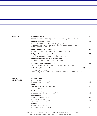| <b>DESSERTS</b>    | Dame Blanche <sup>(D)</sup>                                                                                                               | 37             |
|--------------------|-------------------------------------------------------------------------------------------------------------------------------------------|----------------|
|                    | Vanilla ice-cream, hot Belgian chocolate sauce, whipped cream                                                                             |                |
|                    | Pannekoeken - Pancakes (GL) (D)                                                                                                           | 37             |
|                    | Pancakes served with 2 garnishes to choice<br>Whipped cream, chocolate sauce, berries, Lotus Biscoff cream,<br>Nutella, vanilla ice cream |                |
|                    | Belgian chocolate moelleux (GL) (D)                                                                                                       | 43             |
|                    | Minute hot lava cake, chocolate crumble, vanilla ice cream                                                                                |                |
|                    | Belgian chocolate mousse (D)                                                                                                              | 33             |
|                    | Classic chocolate mousse, chocolate crumble                                                                                               |                |
|                    | Belgian tiramisu with Lotus Biscoff (GL) (D) (E)                                                                                          | 37             |
|                    | Crumbled Lotus Biscoff, espresso, mascarpone                                                                                              |                |
|                    | Appels and berries crumble (GL) (D) (N)                                                                                                   | 37             |
|                    | Almond, hazelnuts, pistachio crumble, soft whipped cream                                                                                  |                |
|                    | Selection of ice cream (D)                                                                                                                | 15 $/$ scoop   |
|                    | Choose your ice cream<br>Vanilla, Belgian chocolate, Lotus Biscoff, strawberry, lemon (sorbet)                                            |                |
| KIDS //            | <b>Cold Starters</b>                                                                                                                      |                |
| <b>DES ENFANTS</b> | Cold pasta salad (D) (GL) (VG)<br>Mimosa eggs and salad (D) (V)                                                                           | 25<br>35       |
|                    | <b>Soup</b>                                                                                                                               |                |
|                    | Tomato soup with veal meat balls (D) (GL)<br>Soup of the day (V)                                                                          | 25<br>25       |
|                    | <b>Healthy options</b>                                                                                                                    |                |
|                    | Avocado and chicken sandwich (D) (GL)                                                                                                     | 35             |
|                    | <b>Main courses</b>                                                                                                                       |                |
|                    | 2 mini burgers and fries (D) (GL)<br>Kids steak and fries (D)<br>Spaghetti bolognese (D) (GL)                                             | 55<br>55<br>35 |
|                    | <b>Desserts</b>                                                                                                                           |                |
|                    | Chocolate mousse (D)<br>Kids pancake with garnish (D) (GL)                                                                                | 30<br>35       |

D : Contains Dairy - GL : contains Glutten - A : contains Alcohol - R : RAW - V : Vegetarian - VG : Vegan All prices are inclusive of 5% VAT and subject to 7% Dubai Municipality Fee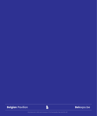## **Belgian** Pavilion **Bel**expo.be





All prices are in AED and inclusive of 7% Municipality fee and 5% VAT.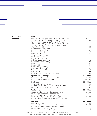

**BEVERAGE // DRANKEN**

| Beer                                                                                                                                                                                                                                                                                                                                                                                                                                                                                                                                                                                                                                                                                                                   |                                                                                                                                              |
|------------------------------------------------------------------------------------------------------------------------------------------------------------------------------------------------------------------------------------------------------------------------------------------------------------------------------------------------------------------------------------------------------------------------------------------------------------------------------------------------------------------------------------------------------------------------------------------------------------------------------------------------------------------------------------------------------------------------|----------------------------------------------------------------------------------------------------------------------------------------------|
| Van het vat - Draught - Stella Artois (330ml/500 ml)<br>Van het vat - Draught - Hoegaarden (330ml/500 ml)<br>Van het vat - Draught - Leffe Blonde (330ml/500 ml)<br>Van het vat - Draught - Leffe Brune (330ml/500 ml)<br>Van het vat - Draught - Triple Karmeliet (330ml)<br>Stella Artois (330ml)<br>Hoegaarden Rose (330ml)<br>Kasteelbier Triple (330ml)<br>Kasteelbier Bruin (330ml)<br>Duvel (330ml)<br>Triple Karmeliet (330ml)<br>La Chouffe (330ml)<br>Pauwel Kwak (330ml)<br>Delirium Tremens (330ml)<br>Maredsous Blond (330ml)<br>Hopus (330ml)<br>Barbar (330ml)<br>Chimay Rouge (330ml)<br>Chimay Bleue (330ml)<br>Westmalle Triple (330ml)<br>Früli (330ml)<br>Floris Apple / Framboise / Fruit (330ml) | 32/47<br>35/49<br>36/51<br>36/51<br>37<br>30<br>30<br>68<br>68<br>60<br>70<br>81<br>61<br>78<br>54<br>66<br>54<br>73<br>83<br>68<br>68<br>63 |
| <b>Sparkling &amp; champagne</b>                                                                                                                                                                                                                                                                                                                                                                                                                                                                                                                                                                                                                                                                                       | 150/750ml                                                                                                                                    |
| Domaine du Chant d Eole Blanc de Blancs<br>Laurent Perrier Brut Champagne                                                                                                                                                                                                                                                                                                                                                                                                                                                                                                                                                                                                                                              | 110 / 590<br>145 / 695                                                                                                                       |
| Rosé wine                                                                                                                                                                                                                                                                                                                                                                                                                                                                                                                                                                                                                                                                                                              | 150 / 750ml                                                                                                                                  |
| Colombelle Plaimont, France<br>Château de L'Aumerade Cuvée Marie-Christine<br>By. Ott Rosé, Domaines Ott, France                                                                                                                                                                                                                                                                                                                                                                                                                                                                                                                                                                                                       | 43 / 212<br>67 / 325<br>385                                                                                                                  |
| <b>White wine</b>                                                                                                                                                                                                                                                                                                                                                                                                                                                                                                                                                                                                                                                                                                      | 150 / 750ml                                                                                                                                  |
| Sauvignon Blanc, d'Alamel by Lapostolle, Chile<br>Pinot Grigio Promessa, Gabbiano, Italy<br>Sauvignon Blanc, Matua, New Zealand<br>Riesling Kung Fu Girl, Charles Smith, USA<br>Macon-Fuisse, Domaine Cordier Pere et Fils, France                                                                                                                                                                                                                                                                                                                                                                                                                                                                                     | 37/182<br>47/245<br>53/250<br>53 / 270<br>370                                                                                                |
| <b>Red wine</b>                                                                                                                                                                                                                                                                                                                                                                                                                                                                                                                                                                                                                                                                                                        | 150 / 750ml                                                                                                                                  |
| Barbera, Araldica, Italy<br>Cabernet Sauvignon, Casa Lapostolle, Chile<br>Malbec, La Linda, Bodega Luigi Bosco, Argentina<br>Rioja Crianza Navajas, Spain<br>Châteauneuf-du-Pape Rouge, France                                                                                                                                                                                                                                                                                                                                                                                                                                                                                                                         | 37/182<br>37/182<br>39 / 190<br>47 / 245<br>545                                                                                              |
|                                                                                                                                                                                                                                                                                                                                                                                                                                                                                                                                                                                                                                                                                                                        |                                                                                                                                              |

D : Contains Dairy - GL : contains Glutten - A : contains Alcohol - R : RAW - V : Vegetarian - VG : Vegan All prices are inclusive of 5% VAT and subject to 7% Dubai Municipality Fee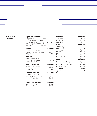### **BEVERAGE // DRANKEN**

### **Signature cocktails**

| Belgian Club (based on beer)            | 68 |
|-----------------------------------------|----|
| Amarillo (based on liqueur)             | 68 |
| Une nuit a Jalisco (based on tequila)68 |    |
| Symphony (based on gin)                 | 68 |
| The Artisan Monk (based on rum)         | 68 |

#### **Vodkas 30 / 60ML**

| Stolichnaya Premium       | 43/82  |
|---------------------------|--------|
| Russian Standard Original | 60/110 |
| Grey Goose                | 80/145 |

#### **Tequilas**

Jose Cuervo Silver 43 / 82 Don Julio Reposado 75 / 131 Patron XO Café

#### **Cognac & Brandy 30 / 60ML**

Three Barrel Brandy 43 / 82<br>Courvoisier vs 77 / 139 Courvoisier vs 77 / 139 Hennessy VSOP

#### **Blended whiskies 30 / 60ML**

Johnnie W. Red label 43 / 82<br>Johnnie W. Black label 60 / 106 Johnnie W. Black label 60 / 106<br>Chivas Regal 18 yrs. 106 / 195 Chivas Regal 18 yrs.

#### **Single malt whiskies 30 / 60ML**

Glenfiddich 18 yrs. 96 / 170<br>Macallan 12 yrs. 80 / 153 Macallan 12 yrs.

| <b>Bourbons</b>       | 30 / 60ML |
|-----------------------|-----------|
| Jim Beam              | 55 / 95   |
| Makers Mark           | 55 / 95   |
| Jack Daniels          | 55 / 95   |
| Gins                  | 30 / 60ML |
| Tangueray 10          | 46/87     |
| Hendrick's            | 58 / 111  |
| Gin Mare              | 72/136    |
| Botanist              | 72/136    |
| Daffy's               | 72 / 136  |
| Roku                  | 72/136    |
| London blue           | 72/136    |
| <b>Rums</b>           | 30 / 60ML |
| Matusalem Classico    | 43/82     |
| Captain Morgan Spiced | 49 / 85   |
| Bacardi Carta Blanca  | 56 / 109  |
| Havana 7 yrs.         | 63/125    |
| <b>Aperitifs</b>      | 30ML      |
| Aperol                | 63        |
| Ricard                | 63        |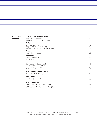| <b>BEVERAGE //</b><br><b>DRANKEN</b> | <b>NON-ALCOHOLIC BEVERAGES</b><br>A selection soft drinks<br>A selection of Rombouts coffee                                                         | 20<br>20                          |
|--------------------------------------|-----------------------------------------------------------------------------------------------------------------------------------------------------|-----------------------------------|
|                                      | <b>Water</b><br>Local Still (355ml)<br>Acqua Panna (500ml/750ml)<br>San Pellegrino Sparkling (500ml/750ml)                                          | 10 <sup>°</sup><br>18/24<br>18/24 |
|                                      | <b>Juices</b><br>A selection of juices                                                                                                              | 23                                |
|                                      | <b>Smoothies</b><br>Banana and date<br>Strawberry                                                                                                   | 28<br>28                          |
|                                      | <b>Non-alcoholic beers</b><br>Biere des amis Belge blond<br>St Peters Without Original<br>St Peters Without Gold<br>Stella Artois 0.0               | 45<br>47<br>47<br>43              |
|                                      | <b>Non-alcoholic sparkling wine</b><br>Vintense Cuvee Prestige                                                                                      | 182                               |
|                                      | Non-alcoholic wine<br>Vina'0 le Chardonnay<br>Ving'O le Merlot                                                                                      | 178<br>178                        |
|                                      | <b>Non-alcoholic Gin</b><br>Pearsons Botanicals - London Botanic<br>Pearsons Botanicals - Hibiscus & Rose<br>Pearsons Botanicals - Rhubarb & Ginger | 48<br>48<br>48                    |